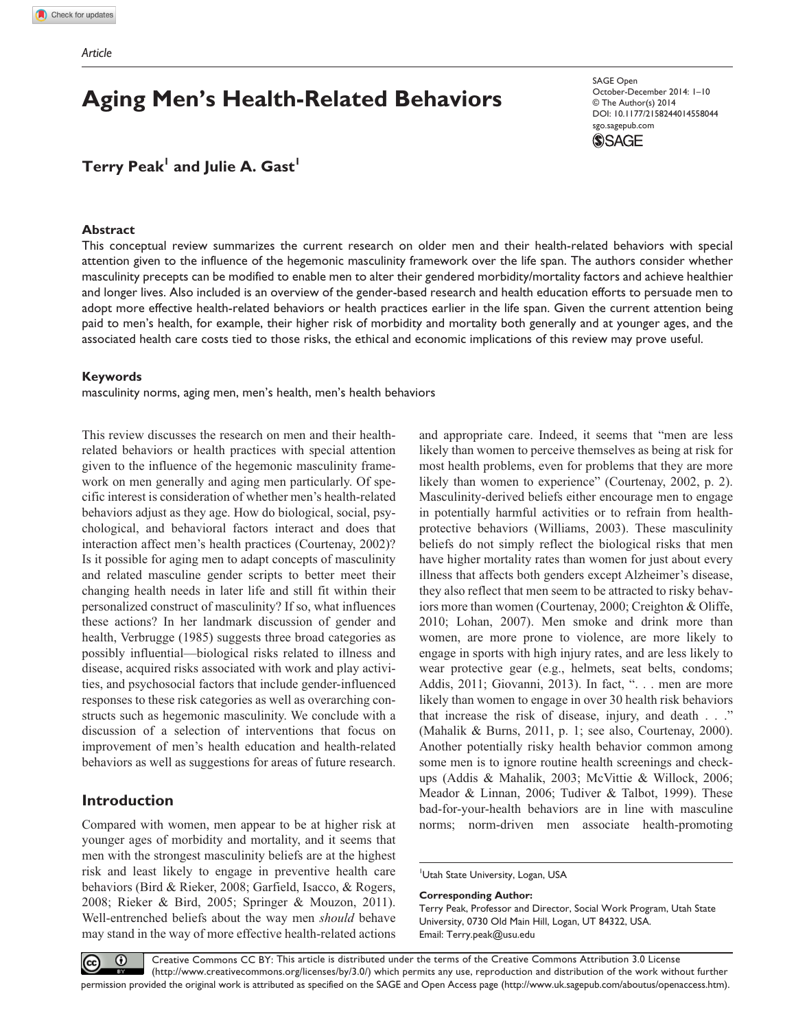# **Aging Men's Health-Related Behaviors**

SAGE Open October-December 2014: 1–10 © The Author(s) 2014 DOI: 10.1177/2158244014558044 sgo.sagepub.com



## $\mathsf{T}$ erry Peak<sup>l</sup> and Julie A. Gast<sup>l</sup>

#### **Abstract**

This conceptual review summarizes the current research on older men and their health-related behaviors with special attention given to the influence of the hegemonic masculinity framework over the life span. The authors consider whether masculinity precepts can be modified to enable men to alter their gendered morbidity/mortality factors and achieve healthier and longer lives. Also included is an overview of the gender-based research and health education efforts to persuade men to adopt more effective health-related behaviors or health practices earlier in the life span. Given the current attention being paid to men's health, for example, their higher risk of morbidity and mortality both generally and at younger ages, and the associated health care costs tied to those risks, the ethical and economic implications of this review may prove useful.

#### **Keywords**

masculinity norms, aging men, men's health, men's health behaviors

This review discusses the research on men and their healthrelated behaviors or health practices with special attention given to the influence of the hegemonic masculinity framework on men generally and aging men particularly. Of specific interest is consideration of whether men's health-related behaviors adjust as they age. How do biological, social, psychological, and behavioral factors interact and does that interaction affect men's health practices (Courtenay, 2002)? Is it possible for aging men to adapt concepts of masculinity and related masculine gender scripts to better meet their changing health needs in later life and still fit within their personalized construct of masculinity? If so, what influences these actions? In her landmark discussion of gender and health, Verbrugge (1985) suggests three broad categories as possibly influential—biological risks related to illness and disease, acquired risks associated with work and play activities, and psychosocial factors that include gender-influenced responses to these risk categories as well as overarching constructs such as hegemonic masculinity. We conclude with a discussion of a selection of interventions that focus on improvement of men's health education and health-related behaviors as well as suggestions for areas of future research.

### **Introduction**

Compared with women, men appear to be at higher risk at younger ages of morbidity and mortality, and it seems that men with the strongest masculinity beliefs are at the highest risk and least likely to engage in preventive health care behaviors (Bird & Rieker, 2008; Garfield, Isacco, & Rogers, 2008; Rieker & Bird, 2005; Springer & Mouzon, 2011). Well-entrenched beliefs about the way men *should* behave may stand in the way of more effective health-related actions and appropriate care. Indeed, it seems that "men are less likely than women to perceive themselves as being at risk for most health problems, even for problems that they are more likely than women to experience" (Courtenay, 2002, p. 2). Masculinity-derived beliefs either encourage men to engage in potentially harmful activities or to refrain from healthprotective behaviors (Williams, 2003). These masculinity beliefs do not simply reflect the biological risks that men have higher mortality rates than women for just about every illness that affects both genders except Alzheimer's disease, they also reflect that men seem to be attracted to risky behaviors more than women (Courtenay, 2000; Creighton & Oliffe, 2010; Lohan, 2007). Men smoke and drink more than women, are more prone to violence, are more likely to engage in sports with high injury rates, and are less likely to wear protective gear (e.g., helmets, seat belts, condoms; Addis, 2011; Giovanni, 2013). In fact, ". . . men are more likely than women to engage in over 30 health risk behaviors that increase the risk of disease, injury, and death . . ." (Mahalik & Burns, 2011, p. 1; see also, Courtenay, 2000). Another potentially risky health behavior common among some men is to ignore routine health screenings and checkups (Addis & Mahalik, 2003; McVittie & Willock, 2006; Meador & Linnan, 2006; Tudiver & Talbot, 1999). These bad-for-your-health behaviors are in line with masculine norms; norm-driven men associate health-promoting

Utah State University, Logan, USA

#### **Corresponding Author:**

Terry Peak, Professor and Director, Social Work Program, Utah State University, 0730 Old Main Hill, Logan, UT 84322, USA. Email: [Terry.peak@usu.edu](mailto:Terry.peak@usu.edu)

Creative Commons CC BY: This article is distributed under the terms of the Creative Commons Attribution 3.0 License  $\odot$  $_{\rm (cc)}$ (http://www.creativecommons.org/licenses/by/3.0/) which permits any use, reproduction and distribution of the work without further permission provided the original work is attributed as specified on the SAGE and Open Access page (http://www.uk.sagepub.com/aboutus/openaccess.htm).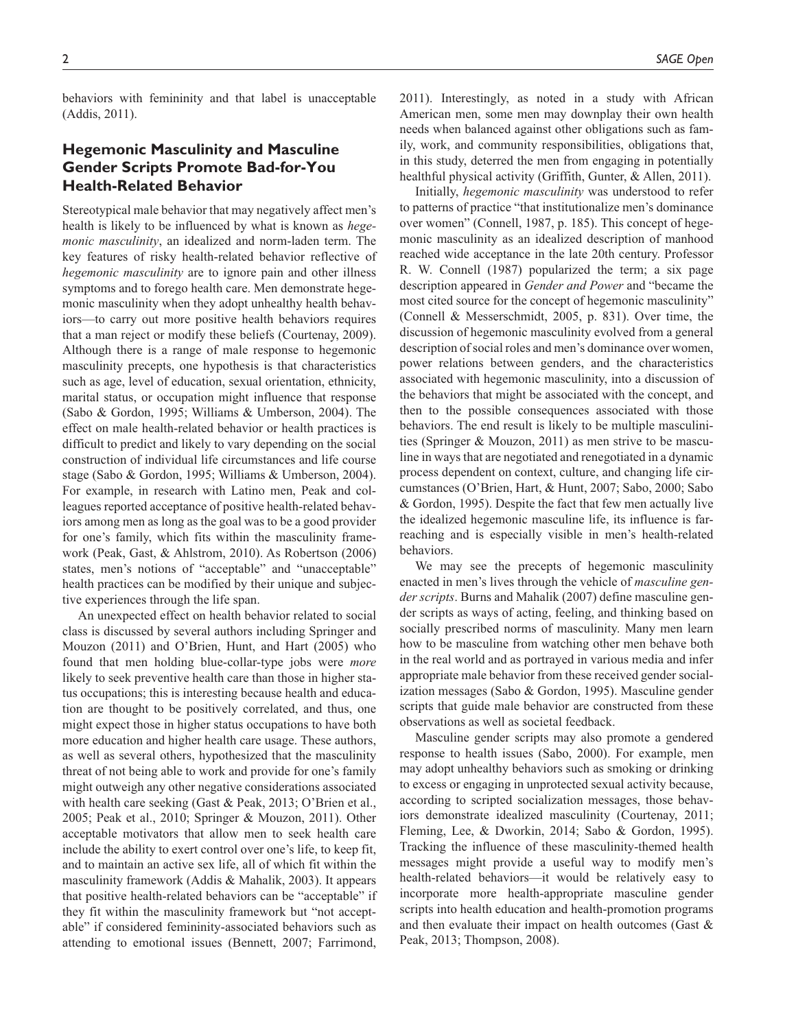behaviors with femininity and that label is unacceptable (Addis, 2011).

### **Hegemonic Masculinity and Masculine Gender Scripts Promote Bad-for-You Health-Related Behavior**

Stereotypical male behavior that may negatively affect men's health is likely to be influenced by what is known as *hegemonic masculinity*, an idealized and norm-laden term. The key features of risky health-related behavior reflective of *hegemonic masculinity* are to ignore pain and other illness symptoms and to forego health care. Men demonstrate hegemonic masculinity when they adopt unhealthy health behaviors—to carry out more positive health behaviors requires that a man reject or modify these beliefs (Courtenay, 2009). Although there is a range of male response to hegemonic masculinity precepts, one hypothesis is that characteristics such as age, level of education, sexual orientation, ethnicity, marital status, or occupation might influence that response (Sabo & Gordon, 1995; Williams & Umberson, 2004). The effect on male health-related behavior or health practices is difficult to predict and likely to vary depending on the social construction of individual life circumstances and life course stage (Sabo & Gordon, 1995; Williams & Umberson, 2004). For example, in research with Latino men, Peak and colleagues reported acceptance of positive health-related behaviors among men as long as the goal was to be a good provider for one's family, which fits within the masculinity framework (Peak, Gast, & Ahlstrom, 2010). As Robertson (2006) states, men's notions of "acceptable" and "unacceptable" health practices can be modified by their unique and subjective experiences through the life span.

An unexpected effect on health behavior related to social class is discussed by several authors including Springer and Mouzon (2011) and O'Brien, Hunt, and Hart (2005) who found that men holding blue-collar-type jobs were *more* likely to seek preventive health care than those in higher status occupations; this is interesting because health and education are thought to be positively correlated, and thus, one might expect those in higher status occupations to have both more education and higher health care usage. These authors, as well as several others, hypothesized that the masculinity threat of not being able to work and provide for one's family might outweigh any other negative considerations associated with health care seeking (Gast & Peak, 2013; O'Brien et al., 2005; Peak et al., 2010; Springer & Mouzon, 2011). Other acceptable motivators that allow men to seek health care include the ability to exert control over one's life, to keep fit, and to maintain an active sex life, all of which fit within the masculinity framework (Addis & Mahalik, 2003). It appears that positive health-related behaviors can be "acceptable" if they fit within the masculinity framework but "not acceptable" if considered femininity-associated behaviors such as attending to emotional issues (Bennett, 2007; Farrimond,

2011). Interestingly, as noted in a study with African American men, some men may downplay their own health needs when balanced against other obligations such as family, work, and community responsibilities, obligations that, in this study, deterred the men from engaging in potentially healthful physical activity (Griffith, Gunter, & Allen, 2011).

Initially, *hegemonic masculinity* was understood to refer to patterns of practice "that institutionalize men's dominance over women" (Connell, 1987, p. 185). This concept of hegemonic masculinity as an idealized description of manhood reached wide acceptance in the late 20th century. Professor R. W. Connell (1987) popularized the term; a six page description appeared in *Gender and Power* and "became the most cited source for the concept of hegemonic masculinity" (Connell & Messerschmidt, 2005, p. 831). Over time, the discussion of hegemonic masculinity evolved from a general description of social roles and men's dominance over women, power relations between genders, and the characteristics associated with hegemonic masculinity, into a discussion of the behaviors that might be associated with the concept, and then to the possible consequences associated with those behaviors. The end result is likely to be multiple masculinities (Springer & Mouzon, 2011) as men strive to be masculine in ways that are negotiated and renegotiated in a dynamic process dependent on context, culture, and changing life circumstances (O'Brien, Hart, & Hunt, 2007; Sabo, 2000; Sabo & Gordon, 1995). Despite the fact that few men actually live the idealized hegemonic masculine life, its influence is farreaching and is especially visible in men's health-related behaviors.

We may see the precepts of hegemonic masculinity enacted in men's lives through the vehicle of *masculine gender scripts*. Burns and Mahalik (2007) define masculine gender scripts as ways of acting, feeling, and thinking based on socially prescribed norms of masculinity. Many men learn how to be masculine from watching other men behave both in the real world and as portrayed in various media and infer appropriate male behavior from these received gender socialization messages (Sabo & Gordon, 1995). Masculine gender scripts that guide male behavior are constructed from these observations as well as societal feedback.

Masculine gender scripts may also promote a gendered response to health issues (Sabo, 2000). For example, men may adopt unhealthy behaviors such as smoking or drinking to excess or engaging in unprotected sexual activity because, according to scripted socialization messages, those behaviors demonstrate idealized masculinity (Courtenay, 2011; Fleming, Lee, & Dworkin, 2014; Sabo & Gordon, 1995). Tracking the influence of these masculinity-themed health messages might provide a useful way to modify men's health-related behaviors—it would be relatively easy to incorporate more health-appropriate masculine gender scripts into health education and health-promotion programs and then evaluate their impact on health outcomes (Gast & Peak, 2013; Thompson, 2008).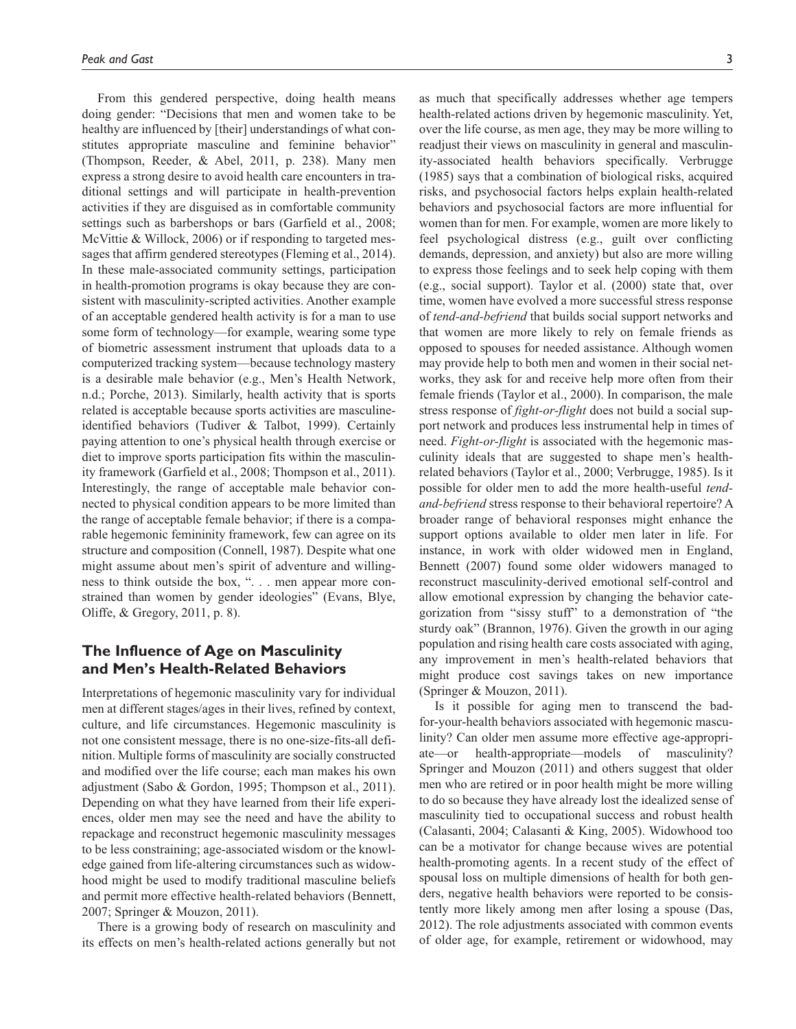From this gendered perspective, doing health means doing gender: "Decisions that men and women take to be healthy are influenced by [their] understandings of what constitutes appropriate masculine and feminine behavior" (Thompson, Reeder, & Abel, 2011, p. 238). Many men express a strong desire to avoid health care encounters in traditional settings and will participate in health-prevention activities if they are disguised as in comfortable community settings such as barbershops or bars (Garfield et al., 2008; McVittie & Willock, 2006) or if responding to targeted messages that affirm gendered stereotypes (Fleming et al., 2014). In these male-associated community settings, participation in health-promotion programs is okay because they are consistent with masculinity-scripted activities. Another example of an acceptable gendered health activity is for a man to use some form of technology—for example, wearing some type of biometric assessment instrument that uploads data to a computerized tracking system—because technology mastery is a desirable male behavior (e.g., Men's Health Network, n.d.; Porche, 2013). Similarly, health activity that is sports related is acceptable because sports activities are masculineidentified behaviors (Tudiver & Talbot, 1999). Certainly paying attention to one's physical health through exercise or diet to improve sports participation fits within the masculinity framework (Garfield et al., 2008; Thompson et al., 2011). Interestingly, the range of acceptable male behavior connected to physical condition appears to be more limited than the range of acceptable female behavior; if there is a comparable hegemonic femininity framework, few can agree on its structure and composition (Connell, 1987). Despite what one might assume about men's spirit of adventure and willingness to think outside the box, ". . . men appear more constrained than women by gender ideologies" (Evans, Blye, Oliffe, & Gregory, 2011, p. 8).

### **The Influence of Age on Masculinity and Men's Health-Related Behaviors**

Interpretations of hegemonic masculinity vary for individual men at different stages/ages in their lives, refined by context, culture, and life circumstances. Hegemonic masculinity is not one consistent message, there is no one-size-fits-all definition. Multiple forms of masculinity are socially constructed and modified over the life course; each man makes his own adjustment (Sabo & Gordon, 1995; Thompson et al., 2011). Depending on what they have learned from their life experiences, older men may see the need and have the ability to repackage and reconstruct hegemonic masculinity messages to be less constraining; age-associated wisdom or the knowledge gained from life-altering circumstances such as widowhood might be used to modify traditional masculine beliefs and permit more effective health-related behaviors (Bennett, 2007; Springer & Mouzon, 2011).

There is a growing body of research on masculinity and its effects on men's health-related actions generally but not as much that specifically addresses whether age tempers health-related actions driven by hegemonic masculinity. Yet, over the life course, as men age, they may be more willing to readjust their views on masculinity in general and masculinity-associated health behaviors specifically. Verbrugge (1985) says that a combination of biological risks, acquired risks, and psychosocial factors helps explain health-related behaviors and psychosocial factors are more influential for women than for men. For example, women are more likely to feel psychological distress (e.g., guilt over conflicting demands, depression, and anxiety) but also are more willing to express those feelings and to seek help coping with them (e.g., social support). Taylor et al. (2000) state that, over time, women have evolved a more successful stress response of *tend-and-befriend* that builds social support networks and that women are more likely to rely on female friends as opposed to spouses for needed assistance. Although women may provide help to both men and women in their social networks, they ask for and receive help more often from their female friends (Taylor et al., 2000). In comparison, the male stress response of *fight-or-flight* does not build a social support network and produces less instrumental help in times of need. *Fight-or-flight* is associated with the hegemonic masculinity ideals that are suggested to shape men's healthrelated behaviors (Taylor et al., 2000; Verbrugge, 1985). Is it possible for older men to add the more health-useful *tendand-befriend* stress response to their behavioral repertoire? A broader range of behavioral responses might enhance the support options available to older men later in life. For instance, in work with older widowed men in England, Bennett (2007) found some older widowers managed to reconstruct masculinity-derived emotional self-control and allow emotional expression by changing the behavior categorization from "sissy stuff" to a demonstration of "the sturdy oak" (Brannon, 1976). Given the growth in our aging population and rising health care costs associated with aging, any improvement in men's health-related behaviors that might produce cost savings takes on new importance (Springer & Mouzon, 2011).

Is it possible for aging men to transcend the badfor-your-health behaviors associated with hegemonic masculinity? Can older men assume more effective age-appropriate—or health-appropriate—models of masculinity? Springer and Mouzon (2011) and others suggest that older men who are retired or in poor health might be more willing to do so because they have already lost the idealized sense of masculinity tied to occupational success and robust health (Calasanti, 2004; Calasanti & King, 2005). Widowhood too can be a motivator for change because wives are potential health-promoting agents. In a recent study of the effect of spousal loss on multiple dimensions of health for both genders, negative health behaviors were reported to be consistently more likely among men after losing a spouse (Das, 2012). The role adjustments associated with common events of older age, for example, retirement or widowhood, may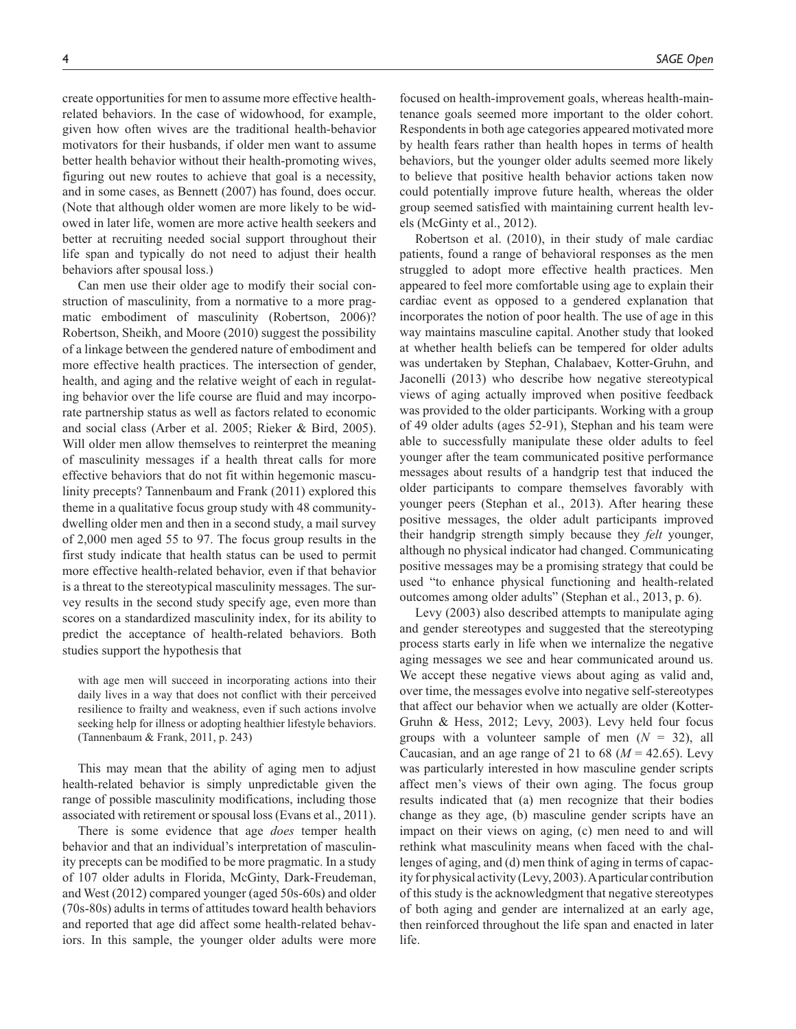create opportunities for men to assume more effective healthrelated behaviors. In the case of widowhood, for example, given how often wives are the traditional health-behavior motivators for their husbands, if older men want to assume better health behavior without their health-promoting wives, figuring out new routes to achieve that goal is a necessity, and in some cases, as Bennett (2007) has found, does occur. (Note that although older women are more likely to be widowed in later life, women are more active health seekers and better at recruiting needed social support throughout their life span and typically do not need to adjust their health behaviors after spousal loss.)

Can men use their older age to modify their social construction of masculinity, from a normative to a more pragmatic embodiment of masculinity (Robertson, 2006)? Robertson, Sheikh, and Moore (2010) suggest the possibility of a linkage between the gendered nature of embodiment and more effective health practices. The intersection of gender, health, and aging and the relative weight of each in regulating behavior over the life course are fluid and may incorporate partnership status as well as factors related to economic and social class (Arber et al. 2005; Rieker & Bird, 2005). Will older men allow themselves to reinterpret the meaning of masculinity messages if a health threat calls for more effective behaviors that do not fit within hegemonic masculinity precepts? Tannenbaum and Frank (2011) explored this theme in a qualitative focus group study with 48 communitydwelling older men and then in a second study, a mail survey of 2,000 men aged 55 to 97. The focus group results in the first study indicate that health status can be used to permit more effective health-related behavior, even if that behavior is a threat to the stereotypical masculinity messages. The survey results in the second study specify age, even more than scores on a standardized masculinity index, for its ability to predict the acceptance of health-related behaviors. Both studies support the hypothesis that

with age men will succeed in incorporating actions into their daily lives in a way that does not conflict with their perceived resilience to frailty and weakness, even if such actions involve seeking help for illness or adopting healthier lifestyle behaviors. (Tannenbaum & Frank, 2011, p. 243)

This may mean that the ability of aging men to adjust health-related behavior is simply unpredictable given the range of possible masculinity modifications, including those associated with retirement or spousal loss (Evans et al., 2011).

There is some evidence that age *does* temper health behavior and that an individual's interpretation of masculinity precepts can be modified to be more pragmatic. In a study of 107 older adults in Florida, McGinty, Dark-Freudeman, and West (2012) compared younger (aged 50s-60s) and older (70s-80s) adults in terms of attitudes toward health behaviors and reported that age did affect some health-related behaviors. In this sample, the younger older adults were more

focused on health-improvement goals, whereas health-maintenance goals seemed more important to the older cohort. Respondents in both age categories appeared motivated more by health fears rather than health hopes in terms of health behaviors, but the younger older adults seemed more likely to believe that positive health behavior actions taken now could potentially improve future health, whereas the older group seemed satisfied with maintaining current health levels (McGinty et al., 2012).

Robertson et al. (2010), in their study of male cardiac patients, found a range of behavioral responses as the men struggled to adopt more effective health practices. Men appeared to feel more comfortable using age to explain their cardiac event as opposed to a gendered explanation that incorporates the notion of poor health. The use of age in this way maintains masculine capital. Another study that looked at whether health beliefs can be tempered for older adults was undertaken by Stephan, Chalabaev, Kotter-Gruhn, and Jaconelli (2013) who describe how negative stereotypical views of aging actually improved when positive feedback was provided to the older participants. Working with a group of 49 older adults (ages 52-91), Stephan and his team were able to successfully manipulate these older adults to feel younger after the team communicated positive performance messages about results of a handgrip test that induced the older participants to compare themselves favorably with younger peers (Stephan et al., 2013). After hearing these positive messages, the older adult participants improved their handgrip strength simply because they *felt* younger, although no physical indicator had changed. Communicating positive messages may be a promising strategy that could be used "to enhance physical functioning and health-related outcomes among older adults" (Stephan et al., 2013, p. 6).

Levy (2003) also described attempts to manipulate aging and gender stereotypes and suggested that the stereotyping process starts early in life when we internalize the negative aging messages we see and hear communicated around us. We accept these negative views about aging as valid and, over time, the messages evolve into negative self-stereotypes that affect our behavior when we actually are older (Kotter-Gruhn & Hess, 2012; Levy, 2003). Levy held four focus groups with a volunteer sample of men  $(N = 32)$ , all Caucasian, and an age range of 21 to 68 ( $M = 42.65$ ). Levy was particularly interested in how masculine gender scripts affect men's views of their own aging. The focus group results indicated that (a) men recognize that their bodies change as they age, (b) masculine gender scripts have an impact on their views on aging, (c) men need to and will rethink what masculinity means when faced with the challenges of aging, and (d) men think of aging in terms of capacity for physical activity (Levy, 2003). A particular contribution of this study is the acknowledgment that negative stereotypes of both aging and gender are internalized at an early age, then reinforced throughout the life span and enacted in later life.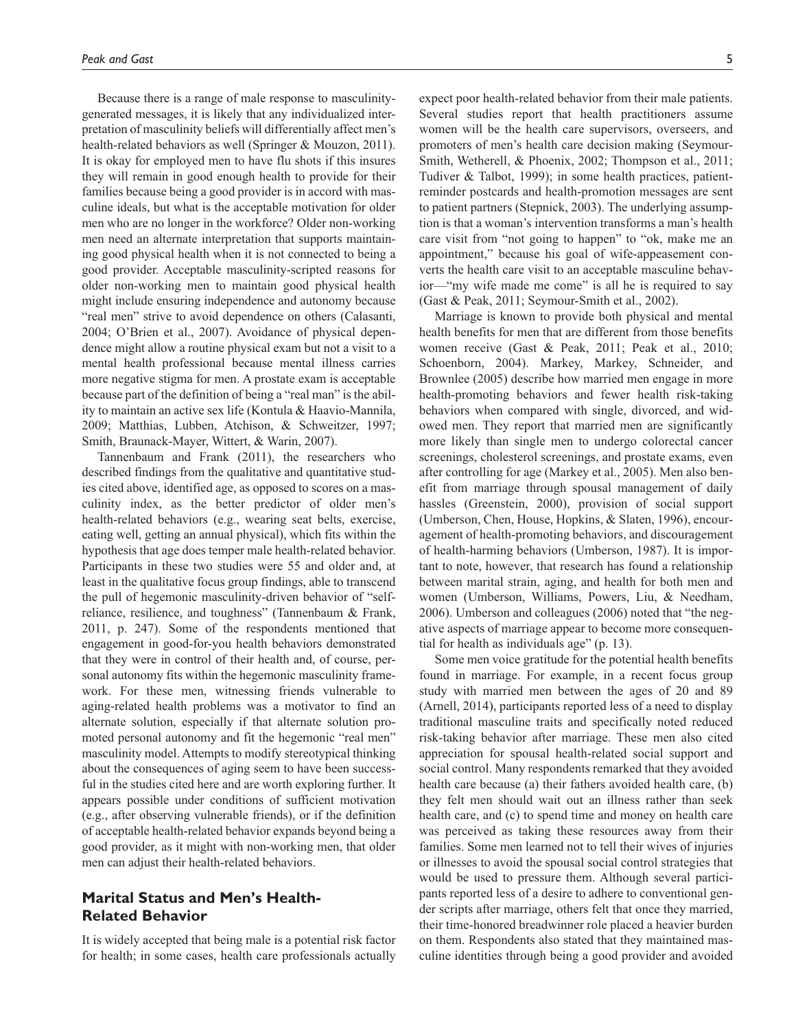Because there is a range of male response to masculinitygenerated messages, it is likely that any individualized interpretation of masculinity beliefs will differentially affect men's health-related behaviors as well (Springer & Mouzon, 2011). It is okay for employed men to have flu shots if this insures they will remain in good enough health to provide for their families because being a good provider is in accord with masculine ideals, but what is the acceptable motivation for older men who are no longer in the workforce? Older non-working men need an alternate interpretation that supports maintaining good physical health when it is not connected to being a good provider. Acceptable masculinity-scripted reasons for older non-working men to maintain good physical health might include ensuring independence and autonomy because "real men" strive to avoid dependence on others (Calasanti, 2004; O'Brien et al., 2007). Avoidance of physical dependence might allow a routine physical exam but not a visit to a mental health professional because mental illness carries more negative stigma for men. A prostate exam is acceptable because part of the definition of being a "real man" is the ability to maintain an active sex life (Kontula & Haavio-Mannila, 2009; Matthias, Lubben, Atchison, & Schweitzer, 1997; Smith, Braunack-Mayer, Wittert, & Warin, 2007).

Tannenbaum and Frank (2011), the researchers who described findings from the qualitative and quantitative studies cited above, identified age, as opposed to scores on a masculinity index, as the better predictor of older men's health-related behaviors (e.g., wearing seat belts, exercise, eating well, getting an annual physical), which fits within the hypothesis that age does temper male health-related behavior. Participants in these two studies were 55 and older and, at least in the qualitative focus group findings, able to transcend the pull of hegemonic masculinity-driven behavior of "selfreliance, resilience, and toughness" (Tannenbaum & Frank, 2011, p. 247). Some of the respondents mentioned that engagement in good-for-you health behaviors demonstrated that they were in control of their health and, of course, personal autonomy fits within the hegemonic masculinity framework. For these men, witnessing friends vulnerable to aging-related health problems was a motivator to find an alternate solution, especially if that alternate solution promoted personal autonomy and fit the hegemonic "real men" masculinity model. Attempts to modify stereotypical thinking about the consequences of aging seem to have been successful in the studies cited here and are worth exploring further. It appears possible under conditions of sufficient motivation (e.g., after observing vulnerable friends), or if the definition of acceptable health-related behavior expands beyond being a good provider, as it might with non-working men, that older men can adjust their health-related behaviors.

### **Marital Status and Men's Health-Related Behavior**

It is widely accepted that being male is a potential risk factor for health; in some cases, health care professionals actually

expect poor health-related behavior from their male patients. Several studies report that health practitioners assume women will be the health care supervisors, overseers, and promoters of men's health care decision making (Seymour-Smith, Wetherell, & Phoenix, 2002; Thompson et al., 2011; Tudiver & Talbot, 1999); in some health practices, patientreminder postcards and health-promotion messages are sent to patient partners (Stepnick, 2003). The underlying assumption is that a woman's intervention transforms a man's health care visit from "not going to happen" to "ok, make me an appointment," because his goal of wife-appeasement converts the health care visit to an acceptable masculine behavior—"my wife made me come" is all he is required to say (Gast & Peak, 2011; Seymour-Smith et al., 2002).

Marriage is known to provide both physical and mental health benefits for men that are different from those benefits women receive (Gast & Peak, 2011; Peak et al., 2010; Schoenborn, 2004). Markey, Markey, Schneider, and Brownlee (2005) describe how married men engage in more health-promoting behaviors and fewer health risk-taking behaviors when compared with single, divorced, and widowed men. They report that married men are significantly more likely than single men to undergo colorectal cancer screenings, cholesterol screenings, and prostate exams, even after controlling for age (Markey et al., 2005). Men also benefit from marriage through spousal management of daily hassles (Greenstein, 2000), provision of social support (Umberson, Chen, House, Hopkins, & Slaten, 1996), encouragement of health-promoting behaviors, and discouragement of health-harming behaviors (Umberson, 1987). It is important to note, however, that research has found a relationship between marital strain, aging, and health for both men and women (Umberson, Williams, Powers, Liu, & Needham, 2006). Umberson and colleagues (2006) noted that "the negative aspects of marriage appear to become more consequential for health as individuals age" (p. 13).

Some men voice gratitude for the potential health benefits found in marriage. For example, in a recent focus group study with married men between the ages of 20 and 89 (Arnell, 2014), participants reported less of a need to display traditional masculine traits and specifically noted reduced risk-taking behavior after marriage. These men also cited appreciation for spousal health-related social support and social control. Many respondents remarked that they avoided health care because (a) their fathers avoided health care, (b) they felt men should wait out an illness rather than seek health care, and (c) to spend time and money on health care was perceived as taking these resources away from their families. Some men learned not to tell their wives of injuries or illnesses to avoid the spousal social control strategies that would be used to pressure them. Although several participants reported less of a desire to adhere to conventional gender scripts after marriage, others felt that once they married, their time-honored breadwinner role placed a heavier burden on them. Respondents also stated that they maintained masculine identities through being a good provider and avoided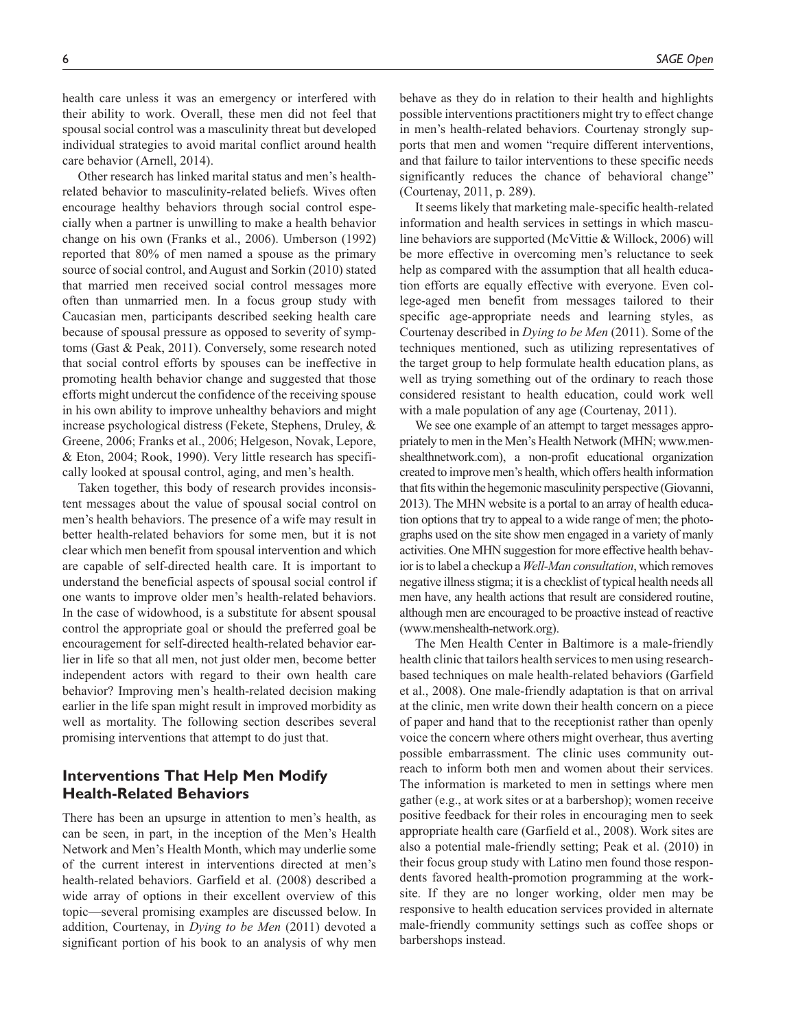health care unless it was an emergency or interfered with their ability to work. Overall, these men did not feel that spousal social control was a masculinity threat but developed individual strategies to avoid marital conflict around health care behavior (Arnell, 2014).

Other research has linked marital status and men's healthrelated behavior to masculinity-related beliefs. Wives often encourage healthy behaviors through social control especially when a partner is unwilling to make a health behavior change on his own (Franks et al., 2006). Umberson (1992) reported that 80% of men named a spouse as the primary source of social control, and August and Sorkin (2010) stated that married men received social control messages more often than unmarried men. In a focus group study with Caucasian men, participants described seeking health care because of spousal pressure as opposed to severity of symptoms (Gast & Peak, 2011). Conversely, some research noted that social control efforts by spouses can be ineffective in promoting health behavior change and suggested that those efforts might undercut the confidence of the receiving spouse in his own ability to improve unhealthy behaviors and might increase psychological distress (Fekete, Stephens, Druley, & Greene, 2006; Franks et al., 2006; Helgeson, Novak, Lepore, & Eton, 2004; Rook, 1990). Very little research has specifically looked at spousal control, aging, and men's health.

Taken together, this body of research provides inconsistent messages about the value of spousal social control on men's health behaviors. The presence of a wife may result in better health-related behaviors for some men, but it is not clear which men benefit from spousal intervention and which are capable of self-directed health care. It is important to understand the beneficial aspects of spousal social control if one wants to improve older men's health-related behaviors. In the case of widowhood, is a substitute for absent spousal control the appropriate goal or should the preferred goal be encouragement for self-directed health-related behavior earlier in life so that all men, not just older men, become better independent actors with regard to their own health care behavior? Improving men's health-related decision making earlier in the life span might result in improved morbidity as well as mortality. The following section describes several promising interventions that attempt to do just that.

### **Interventions That Help Men Modify Health-Related Behaviors**

There has been an upsurge in attention to men's health, as can be seen, in part, in the inception of the Men's Health Network and Men's Health Month, which may underlie some of the current interest in interventions directed at men's health-related behaviors. Garfield et al. (2008) described a wide array of options in their excellent overview of this topic—several promising examples are discussed below. In addition, Courtenay, in *Dying to be Men* (2011) devoted a significant portion of his book to an analysis of why men

behave as they do in relation to their health and highlights possible interventions practitioners might try to effect change in men's health-related behaviors. Courtenay strongly supports that men and women "require different interventions, and that failure to tailor interventions to these specific needs significantly reduces the chance of behavioral change" (Courtenay, 2011, p. 289).

It seems likely that marketing male-specific health-related information and health services in settings in which masculine behaviors are supported (McVittie & Willock, 2006) will be more effective in overcoming men's reluctance to seek help as compared with the assumption that all health education efforts are equally effective with everyone. Even college-aged men benefit from messages tailored to their specific age-appropriate needs and learning styles, as Courtenay described in *Dying to be Men* (2011). Some of the techniques mentioned, such as utilizing representatives of the target group to help formulate health education plans, as well as trying something out of the ordinary to reach those considered resistant to health education, could work well with a male population of any age (Courtenay, 2011).

We see one example of an attempt to target messages appropriately to men in the Men's Health Network (MHN; [www.men](www.menshealthnetwork.com)[shealthnetwork.com\)](www.menshealthnetwork.com), a non-profit educational organization created to improve men's health, which offers health information that fits within the hegemonic masculinity perspective (Giovanni, 2013). The MHN website is a portal to an array of health education options that try to appeal to a wide range of men; the photographs used on the site show men engaged in a variety of manly activities. One MHN suggestion for more effective health behavior is to label a checkup a *Well-Man consultation*, which removes negative illness stigma; it is a checklist of typical health needs all men have, any health actions that result are considered routine, although men are encouraged to be proactive instead of reactive ([www.menshealth-network.org\)](www.menshealth-network.org).

The Men Health Center in Baltimore is a male-friendly health clinic that tailors health services to men using researchbased techniques on male health-related behaviors (Garfield et al., 2008). One male-friendly adaptation is that on arrival at the clinic, men write down their health concern on a piece of paper and hand that to the receptionist rather than openly voice the concern where others might overhear, thus averting possible embarrassment. The clinic uses community outreach to inform both men and women about their services. The information is marketed to men in settings where men gather (e.g., at work sites or at a barbershop); women receive positive feedback for their roles in encouraging men to seek appropriate health care (Garfield et al., 2008). Work sites are also a potential male-friendly setting; Peak et al. (2010) in their focus group study with Latino men found those respondents favored health-promotion programming at the worksite. If they are no longer working, older men may be responsive to health education services provided in alternate male-friendly community settings such as coffee shops or barbershops instead.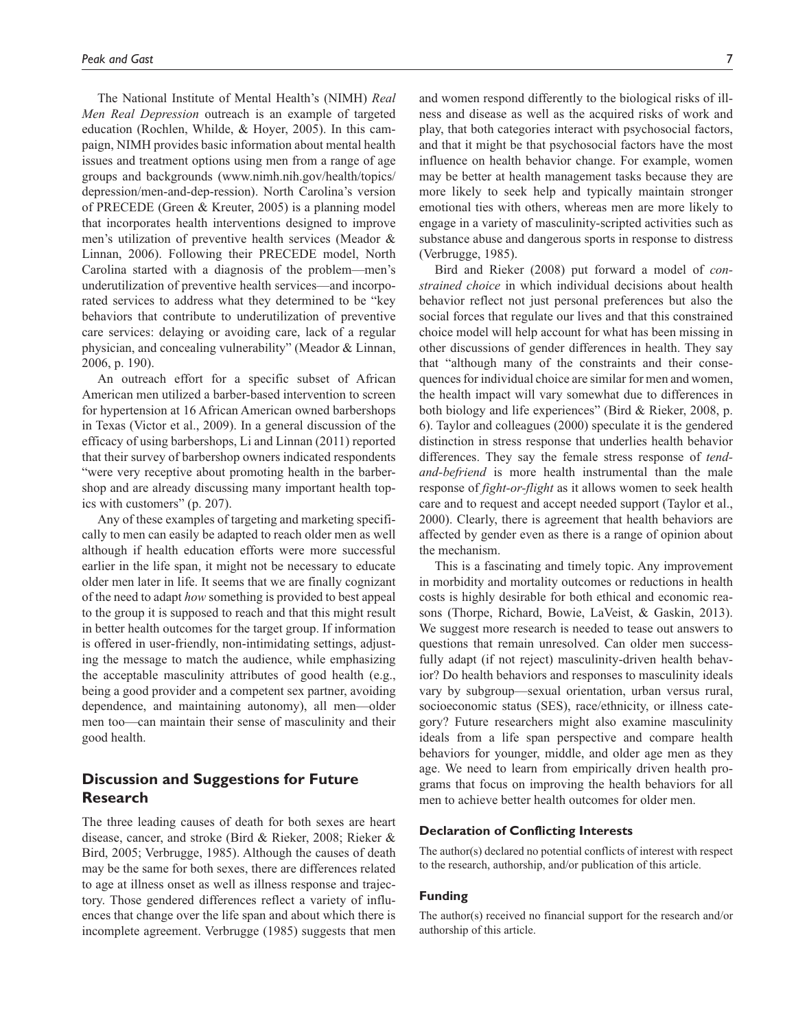The National Institute of Mental Health's (NIMH) *Real Men Real Depression* outreach is an example of targeted education (Rochlen, Whilde, & Hoyer, 2005). In this campaign, NIMH provides basic information about mental health issues and treatment options using men from a range of age groups and backgrounds ([www.nimh.nih.gov/health/topics/](www.nimh.nih.gov/health/topics/depression/men-and-dep-ression) [depression/men-and-dep-ression\)](www.nimh.nih.gov/health/topics/depression/men-and-dep-ression). North Carolina's version of PRECEDE (Green & Kreuter, 2005) is a planning model that incorporates health interventions designed to improve men's utilization of preventive health services (Meador & Linnan, 2006). Following their PRECEDE model, North Carolina started with a diagnosis of the problem—men's underutilization of preventive health services—and incorporated services to address what they determined to be "key behaviors that contribute to underutilization of preventive care services: delaying or avoiding care, lack of a regular physician, and concealing vulnerability" (Meador & Linnan, 2006, p. 190).

An outreach effort for a specific subset of African American men utilized a barber-based intervention to screen for hypertension at 16 African American owned barbershops in Texas (Victor et al., 2009). In a general discussion of the efficacy of using barbershops, Li and Linnan (2011) reported that their survey of barbershop owners indicated respondents "were very receptive about promoting health in the barbershop and are already discussing many important health topics with customers" (p. 207).

Any of these examples of targeting and marketing specifically to men can easily be adapted to reach older men as well although if health education efforts were more successful earlier in the life span, it might not be necessary to educate older men later in life. It seems that we are finally cognizant of the need to adapt *how* something is provided to best appeal to the group it is supposed to reach and that this might result in better health outcomes for the target group. If information is offered in user-friendly, non-intimidating settings, adjusting the message to match the audience, while emphasizing the acceptable masculinity attributes of good health (e.g., being a good provider and a competent sex partner, avoiding dependence, and maintaining autonomy), all men—older men too—can maintain their sense of masculinity and their good health.

### **Discussion and Suggestions for Future Research**

The three leading causes of death for both sexes are heart disease, cancer, and stroke (Bird & Rieker, 2008; Rieker & Bird, 2005; Verbrugge, 1985). Although the causes of death may be the same for both sexes, there are differences related to age at illness onset as well as illness response and trajectory. Those gendered differences reflect a variety of influences that change over the life span and about which there is incomplete agreement. Verbrugge (1985) suggests that men

and women respond differently to the biological risks of illness and disease as well as the acquired risks of work and play, that both categories interact with psychosocial factors, and that it might be that psychosocial factors have the most influence on health behavior change. For example, women may be better at health management tasks because they are more likely to seek help and typically maintain stronger emotional ties with others, whereas men are more likely to engage in a variety of masculinity-scripted activities such as substance abuse and dangerous sports in response to distress (Verbrugge, 1985).

Bird and Rieker (2008) put forward a model of *constrained choice* in which individual decisions about health behavior reflect not just personal preferences but also the social forces that regulate our lives and that this constrained choice model will help account for what has been missing in other discussions of gender differences in health. They say that "although many of the constraints and their consequences for individual choice are similar for men and women, the health impact will vary somewhat due to differences in both biology and life experiences" (Bird & Rieker, 2008, p. 6). Taylor and colleagues (2000) speculate it is the gendered distinction in stress response that underlies health behavior differences. They say the female stress response of *tendand-befriend* is more health instrumental than the male response of *fight-or-flight* as it allows women to seek health care and to request and accept needed support (Taylor et al., 2000). Clearly, there is agreement that health behaviors are affected by gender even as there is a range of opinion about the mechanism.

This is a fascinating and timely topic. Any improvement in morbidity and mortality outcomes or reductions in health costs is highly desirable for both ethical and economic reasons (Thorpe, Richard, Bowie, LaVeist, & Gaskin, 2013). We suggest more research is needed to tease out answers to questions that remain unresolved. Can older men successfully adapt (if not reject) masculinity-driven health behavior? Do health behaviors and responses to masculinity ideals vary by subgroup—sexual orientation, urban versus rural, socioeconomic status (SES), race/ethnicity, or illness category? Future researchers might also examine masculinity ideals from a life span perspective and compare health behaviors for younger, middle, and older age men as they age. We need to learn from empirically driven health programs that focus on improving the health behaviors for all men to achieve better health outcomes for older men.

#### **Declaration of Conflicting Interests**

The author(s) declared no potential conflicts of interest with respect to the research, authorship, and/or publication of this article.

#### **Funding**

The author(s) received no financial support for the research and/or authorship of this article.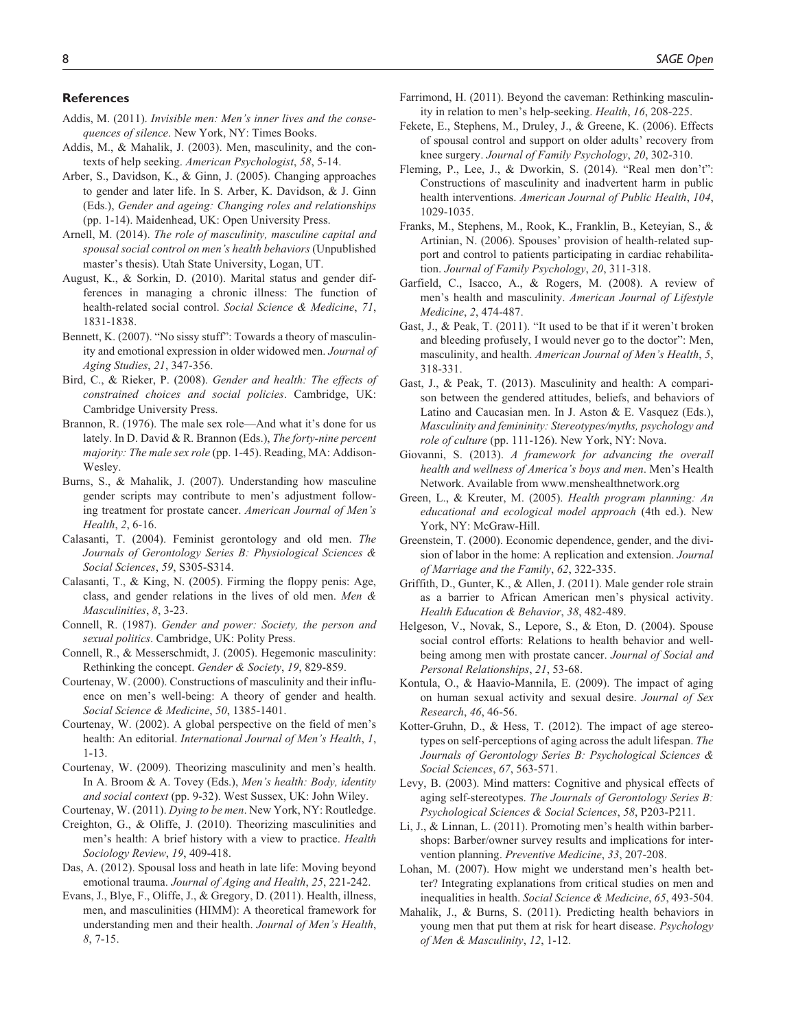#### **References**

- Addis, M. (2011). *Invisible men: Men's inner lives and the consequences of silence*. New York, NY: Times Books.
- Addis, M., & Mahalik, J. (2003). Men, masculinity, and the contexts of help seeking. *American Psychologist*, *58*, 5-14.
- Arber, S., Davidson, K., & Ginn, J. (2005). Changing approaches to gender and later life. In S. Arber, K. Davidson, & J. Ginn (Eds.), *Gender and ageing: Changing roles and relationships* (pp. 1-14). Maidenhead, UK: Open University Press.
- Arnell, M. (2014). *The role of masculinity, masculine capital and spousal social control on men's health behaviors* (Unpublished master's thesis). Utah State University, Logan, UT.
- August, K., & Sorkin, D. (2010). Marital status and gender differences in managing a chronic illness: The function of health-related social control. *Social Science & Medicine*, *71*, 1831-1838.
- Bennett, K. (2007). "No sissy stuff": Towards a theory of masculinity and emotional expression in older widowed men. *Journal of Aging Studies*, *21*, 347-356.
- Bird, C., & Rieker, P. (2008). *Gender and health: The effects of constrained choices and social policies*. Cambridge, UK: Cambridge University Press.
- Brannon, R. (1976). The male sex role—And what it's done for us lately. In D. David & R. Brannon (Eds.), *The forty-nine percent majority: The male sex role* (pp. 1-45). Reading, MA: Addison-Wesley.
- Burns, S., & Mahalik, J. (2007). Understanding how masculine gender scripts may contribute to men's adjustment following treatment for prostate cancer. *American Journal of Men's Health*, *2*, 6-16.
- Calasanti, T. (2004). Feminist gerontology and old men. *The Journals of Gerontology Series B: Physiological Sciences & Social Sciences*, *59*, S305-S314.
- Calasanti, T., & King, N. (2005). Firming the floppy penis: Age, class, and gender relations in the lives of old men. *Men & Masculinities*, *8*, 3-23.
- Connell, R. (1987). *Gender and power: Society, the person and sexual politics*. Cambridge, UK: Polity Press.
- Connell, R., & Messerschmidt, J. (2005). Hegemonic masculinity: Rethinking the concept. *Gender & Society*, *19*, 829-859.
- Courtenay, W. (2000). Constructions of masculinity and their influence on men's well-being: A theory of gender and health. *Social Science & Medicine*, *50*, 1385-1401.
- Courtenay, W. (2002). A global perspective on the field of men's health: An editorial. *International Journal of Men's Health*, *1*, 1-13.
- Courtenay, W. (2009). Theorizing masculinity and men's health. In A. Broom & A. Tovey (Eds.), *Men's health: Body, identity and social context* (pp. 9-32). West Sussex, UK: John Wiley.

Courtenay, W. (2011). *Dying to be men*. New York, NY: Routledge.

- Creighton, G., & Oliffe, J. (2010). Theorizing masculinities and men's health: A brief history with a view to practice. *Health Sociology Review*, *19*, 409-418.
- Das, A. (2012). Spousal loss and heath in late life: Moving beyond emotional trauma. *Journal of Aging and Health*, *25*, 221-242.
- Evans, J., Blye, F., Oliffe, J., & Gregory, D. (2011). Health, illness, men, and masculinities (HIMM): A theoretical framework for understanding men and their health. *Journal of Men's Health*, *8*, 7-15.
- Farrimond, H. (2011). Beyond the caveman: Rethinking masculinity in relation to men's help-seeking. *Health*, *16*, 208-225.
- Fekete, E., Stephens, M., Druley, J., & Greene, K. (2006). Effects of spousal control and support on older adults' recovery from knee surgery. *Journal of Family Psychology*, *20*, 302-310.
- Fleming, P., Lee, J., & Dworkin, S. (2014). "Real men don't": Constructions of masculinity and inadvertent harm in public health interventions. *American Journal of Public Health*, *104*, 1029-1035.
- Franks, M., Stephens, M., Rook, K., Franklin, B., Keteyian, S., & Artinian, N. (2006). Spouses' provision of health-related support and control to patients participating in cardiac rehabilitation. *Journal of Family Psychology*, *20*, 311-318.
- Garfield, C., Isacco, A., & Rogers, M. (2008). A review of men's health and masculinity. *American Journal of Lifestyle Medicine*, *2*, 474-487.
- Gast, J., & Peak, T. (2011). "It used to be that if it weren't broken and bleeding profusely, I would never go to the doctor": Men, masculinity, and health. *American Journal of Men's Health*, *5*, 318-331.
- Gast, J., & Peak, T. (2013). Masculinity and health: A comparison between the gendered attitudes, beliefs, and behaviors of Latino and Caucasian men. In J. Aston & E. Vasquez (Eds.), *Masculinity and femininity: Stereotypes/myths, psychology and role of culture* (pp. 111-126). New York, NY: Nova.
- Giovanni, S. (2013). *A framework for advancing the overall health and wellness of America's boys and men*. Men's Health Network. Available from<www.menshealthnetwork.org>
- Green, L., & Kreuter, M. (2005). *Health program planning: An educational and ecological model approach* (4th ed.). New York, NY: McGraw-Hill.
- Greenstein, T. (2000). Economic dependence, gender, and the division of labor in the home: A replication and extension. *Journal of Marriage and the Family*, *62*, 322-335.
- Griffith, D., Gunter, K., & Allen, J. (2011). Male gender role strain as a barrier to African American men's physical activity. *Health Education & Behavior*, *38*, 482-489.
- Helgeson, V., Novak, S., Lepore, S., & Eton, D. (2004). Spouse social control efforts: Relations to health behavior and wellbeing among men with prostate cancer. *Journal of Social and Personal Relationships*, *21*, 53-68.
- Kontula, O., & Haavio-Mannila, E. (2009). The impact of aging on human sexual activity and sexual desire. *Journal of Sex Research*, *46*, 46-56.
- Kotter-Gruhn, D., & Hess, T. (2012). The impact of age stereotypes on self-perceptions of aging across the adult lifespan. *The Journals of Gerontology Series B: Psychological Sciences & Social Sciences*, *67*, 563-571.
- Levy, B. (2003). Mind matters: Cognitive and physical effects of aging self-stereotypes. *The Journals of Gerontology Series B: Psychological Sciences & Social Sciences*, *58*, P203-P211.
- Li, J., & Linnan, L. (2011). Promoting men's health within barbershops: Barber/owner survey results and implications for intervention planning. *Preventive Medicine*, *33*, 207-208.
- Lohan, M. (2007). How might we understand men's health better? Integrating explanations from critical studies on men and inequalities in health. *Social Science & Medicine*, *65*, 493-504.
- Mahalik, J., & Burns, S. (2011). Predicting health behaviors in young men that put them at risk for heart disease. *Psychology of Men & Masculinity*, *12*, 1-12.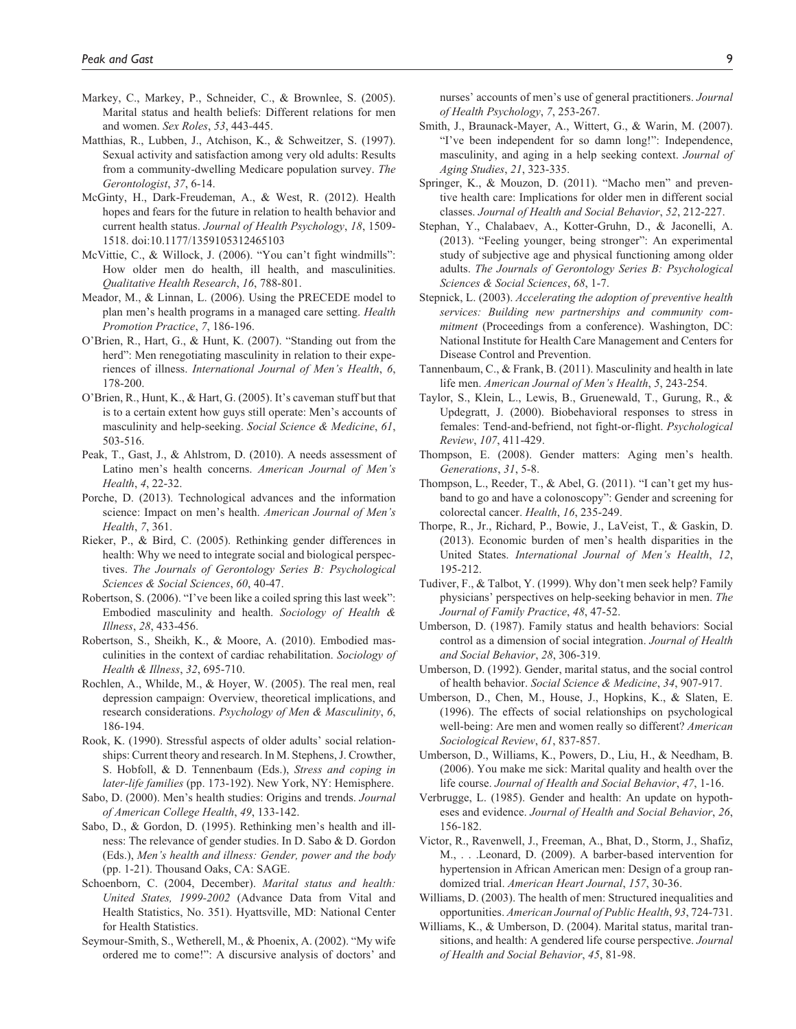- Markey, C., Markey, P., Schneider, C., & Brownlee, S. (2005). Marital status and health beliefs: Different relations for men and women. *Sex Roles*, *53*, 443-445.
- Matthias, R., Lubben, J., Atchison, K., & Schweitzer, S. (1997). Sexual activity and satisfaction among very old adults: Results from a community-dwelling Medicare population survey. *The Gerontologist*, *37*, 6-14.
- McGinty, H., Dark-Freudeman, A., & West, R. (2012). Health hopes and fears for the future in relation to health behavior and current health status. *Journal of Health Psychology*, *18*, 1509- 1518. doi:10.1177/1359105312465103
- McVittie, C., & Willock, J. (2006). "You can't fight windmills": How older men do health, ill health, and masculinities. *Qualitative Health Research*, *16*, 788-801.
- Meador, M., & Linnan, L. (2006). Using the PRECEDE model to plan men's health programs in a managed care setting. *Health Promotion Practice*, *7*, 186-196.
- O'Brien, R., Hart, G., & Hunt, K. (2007). "Standing out from the herd": Men renegotiating masculinity in relation to their experiences of illness. *International Journal of Men's Health*, *6*, 178-200.
- O'Brien, R., Hunt, K., & Hart, G. (2005). It's caveman stuff but that is to a certain extent how guys still operate: Men's accounts of masculinity and help-seeking. *Social Science & Medicine*, *61*, 503-516.
- Peak, T., Gast, J., & Ahlstrom, D. (2010). A needs assessment of Latino men's health concerns. *American Journal of Men's Health*, *4*, 22-32.
- Porche, D. (2013). Technological advances and the information science: Impact on men's health. *American Journal of Men's Health*, *7*, 361.
- Rieker, P., & Bird, C. (2005). Rethinking gender differences in health: Why we need to integrate social and biological perspectives. *The Journals of Gerontology Series B: Psychological Sciences & Social Sciences*, *60*, 40-47.
- Robertson, S. (2006). "I've been like a coiled spring this last week": Embodied masculinity and health. *Sociology of Health & Illness*, *28*, 433-456.
- Robertson, S., Sheikh, K., & Moore, A. (2010). Embodied masculinities in the context of cardiac rehabilitation. *Sociology of Health & Illness*, *32*, 695-710.
- Rochlen, A., Whilde, M., & Hoyer, W. (2005). The real men, real depression campaign: Overview, theoretical implications, and research considerations. *Psychology of Men & Masculinity*, *6*, 186-194.
- Rook, K. (1990). Stressful aspects of older adults' social relationships: Current theory and research. In M. Stephens, J. Crowther, S. Hobfoll, & D. Tennenbaum (Eds.), *Stress and coping in later-life families* (pp. 173-192). New York, NY: Hemisphere.
- Sabo, D. (2000). Men's health studies: Origins and trends. *Journal of American College Health*, *49*, 133-142.
- Sabo, D., & Gordon, D. (1995). Rethinking men's health and illness: The relevance of gender studies. In D. Sabo & D. Gordon (Eds.), *Men's health and illness: Gender, power and the body* (pp. 1-21). Thousand Oaks, CA: SAGE.
- Schoenborn, C. (2004, December). *Marital status and health: United States, 1999-2002* (Advance Data from Vital and Health Statistics, No. 351). Hyattsville, MD: National Center for Health Statistics.
- Seymour-Smith, S., Wetherell, M., & Phoenix, A. (2002). "My wife ordered me to come!": A discursive analysis of doctors' and

nurses' accounts of men's use of general practitioners. *Journal of Health Psychology*, *7*, 253-267.

- Smith, J., Braunack-Mayer, A., Wittert, G., & Warin, M. (2007). "I've been independent for so damn long!": Independence, masculinity, and aging in a help seeking context. *Journal of Aging Studies*, *21*, 323-335.
- Springer, K., & Mouzon, D. (2011). "Macho men" and preventive health care: Implications for older men in different social classes. *Journal of Health and Social Behavior*, *52*, 212-227.
- Stephan, Y., Chalabaev, A., Kotter-Gruhn, D., & Jaconelli, A. (2013). "Feeling younger, being stronger": An experimental study of subjective age and physical functioning among older adults. *The Journals of Gerontology Series B: Psychological Sciences & Social Sciences*, *68*, 1-7.
- Stepnick, L. (2003). *Accelerating the adoption of preventive health services: Building new partnerships and community commitment* (Proceedings from a conference). Washington, DC: National Institute for Health Care Management and Centers for Disease Control and Prevention.
- Tannenbaum, C., & Frank, B. (2011). Masculinity and health in late life men. *American Journal of Men's Health*, *5*, 243-254.
- Taylor, S., Klein, L., Lewis, B., Gruenewald, T., Gurung, R., & Updegratt, J. (2000). Biobehavioral responses to stress in females: Tend-and-befriend, not fight-or-flight. *Psychological Review*, *107*, 411-429.
- Thompson, E. (2008). Gender matters: Aging men's health. *Generations*, *31*, 5-8.
- Thompson, L., Reeder, T., & Abel, G. (2011). "I can't get my husband to go and have a colonoscopy": Gender and screening for colorectal cancer. *Health*, *16*, 235-249.
- Thorpe, R., Jr., Richard, P., Bowie, J., LaVeist, T., & Gaskin, D. (2013). Economic burden of men's health disparities in the United States. *International Journal of Men's Health*, *12*, 195-212.
- Tudiver, F., & Talbot, Y. (1999). Why don't men seek help? Family physicians' perspectives on help-seeking behavior in men. *The Journal of Family Practice*, *48*, 47-52.
- Umberson, D. (1987). Family status and health behaviors: Social control as a dimension of social integration. *Journal of Health and Social Behavior*, *28*, 306-319.
- Umberson, D. (1992). Gender, marital status, and the social control of health behavior. *Social Science & Medicine*, *34*, 907-917.
- Umberson, D., Chen, M., House, J., Hopkins, K., & Slaten, E. (1996). The effects of social relationships on psychological well-being: Are men and women really so different? *American Sociological Review*, *61*, 837-857.
- Umberson, D., Williams, K., Powers, D., Liu, H., & Needham, B. (2006). You make me sick: Marital quality and health over the life course. *Journal of Health and Social Behavior*, *47*, 1-16.
- Verbrugge, L. (1985). Gender and health: An update on hypotheses and evidence. *Journal of Health and Social Behavior*, *26*, 156-182.
- Victor, R., Ravenwell, J., Freeman, A., Bhat, D., Storm, J., Shafiz, M., . . .Leonard, D. (2009). A barber-based intervention for hypertension in African American men: Design of a group randomized trial. *American Heart Journal*, *157*, 30-36.
- Williams, D. (2003). The health of men: Structured inequalities and opportunities. *American Journal of Public Health*, *93*, 724-731.
- Williams, K., & Umberson, D. (2004). Marital status, marital transitions, and health: A gendered life course perspective. *Journal of Health and Social Behavior*, *45*, 81-98.